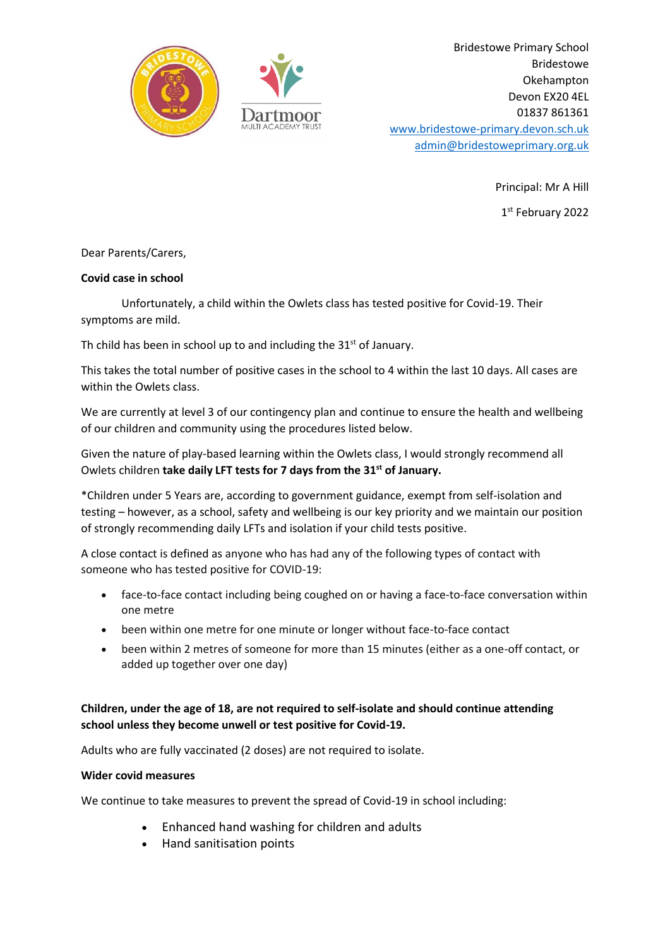

Bridestowe Primary School Bridestowe Okehampton Devon EX20 4EL 01837 861361 [www.bridestowe-primary.devon.sch.uk](http://www.bridestowe-primary.devon.sch.uk/) [admin@bridestoweprimary.org.uk](mailto:admin@bridestoweprimary.org.uk)

> Principal: Mr A Hill 1 st February 2022

Dear Parents/Carers,

## **Covid case in school**

Unfortunately, a child within the Owlets class has tested positive for Covid-19. Their symptoms are mild.

Th child has been in school up to and including the  $31<sup>st</sup>$  of January.

This takes the total number of positive cases in the school to 4 within the last 10 days. All cases are within the Owlets class.

We are currently at level 3 of our contingency plan and continue to ensure the health and wellbeing of our children and community using the procedures listed below.

Given the nature of play-based learning within the Owlets class, I would strongly recommend all Owlets children **take daily LFT tests for 7 days from the 31st of January.**

\*Children under 5 Years are, according to government guidance, exempt from self-isolation and testing – however, as a school, safety and wellbeing is our key priority and we maintain our position of strongly recommending daily LFTs and isolation if your child tests positive.

A close contact is defined as anyone who has had any of the following types of contact with someone who has tested positive for COVID-19:

- face-to-face contact including being coughed on or having a face-to-face conversation within one metre
- been within one metre for one minute or longer without face-to-face contact
- been within 2 metres of someone for more than 15 minutes (either as a one-off contact, or added up together over one day)

## **Children, under the age of 18, are not required to self-isolate and should continue attending school unless they become unwell or test positive for Covid-19.**

Adults who are fully vaccinated (2 doses) are not required to isolate.

## **Wider covid measures**

We continue to take measures to prevent the spread of Covid-19 in school including:

- Enhanced hand washing for children and adults
- Hand sanitisation points